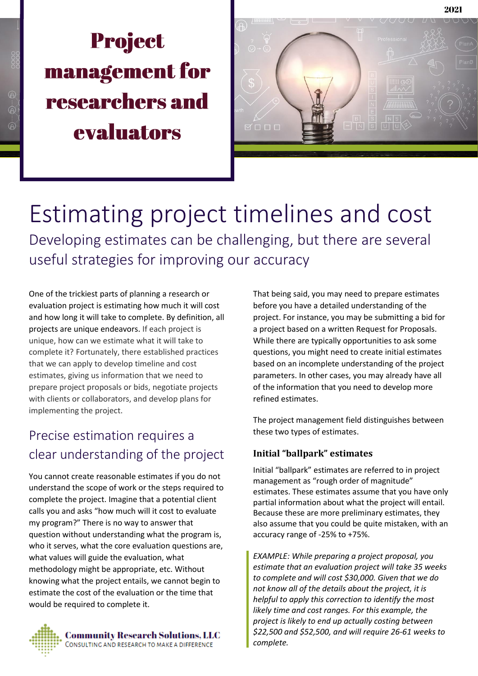# **Project** management for researchers and evaluators



Estimating project timelines and cost Developing estimates can be challenging, but there are several useful strategies for improving our accuracy

One of the trickiest parts of planning a research or evaluation project is estimating how much it will cost and how long it will take to complete. By definition, all projects are unique endeavors. If each project is unique, how can we estimate what it will take to complete it? Fortunately, there established practices that we can apply to develop timeline and cost estimates, giving us information that we need to prepare project proposals or bids, negotiate projects with clients or collaborators, and develop plans for implementing the project.

## Precise estimation requires a clear understanding of the project

You cannot create reasonable estimates if you do not understand the scope of work or the steps required to complete the project. Imagine that a potential client calls you and asks "how much will it cost to evaluate my program?" There is no way to answer that question without understanding what the program is, who it serves, what the core evaluation questions are, what values will guide the evaluation, what methodology might be appropriate, etc. Without knowing what the project entails, we cannot begin to estimate the cost of the evaluation or the time that would be required to complete it.



**Community Research Solutions, LLC** CONSULTING AND RESEARCH TO MAKE A DIFFERENCE

That being said, you may need to prepare estimates before you have a detailed understanding of the project. For instance, you may be submitting a bid for a project based on a written Request for Proposals. While there are typically opportunities to ask some questions, you might need to create initial estimates based on an incomplete understanding of the project parameters. In other cases, you may already have all of the information that you need to develop more refined estimates.

The project management field distinguishes between these two types of estimates.

#### **Initial "ballpark" estimates**

Initial "ballpark" estimates are referred to in project management as "rough order of magnitude" estimates. These estimates assume that you have only partial information about what the project will entail. Because these are more preliminary estimates, they also assume that you could be quite mistaken, with an accuracy range of -25% to +75%.

*EXAMPLE: While preparing a project proposal, you estimate that an evaluation project will take 35 weeks to complete and will cost \$30,000. Given that we do not know all of the details about the project, it is helpful to apply this correction to identify the most likely time and cost ranges. For this example, the project is likely to end up actually costing between \$22,500 and \$52,500, and will require 26-61 weeks to complete.*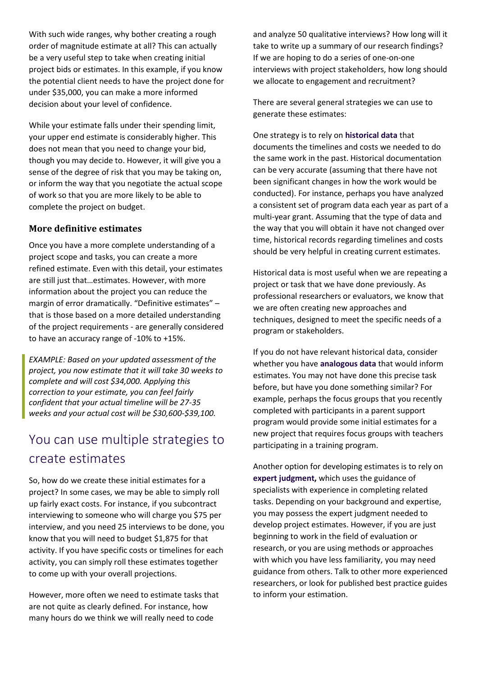With such wide ranges, why bother creating a rough order of magnitude estimate at all? This can actually be a very useful step to take when creating initial project bids or estimates. In this example, if you know the potential client needs to have the project done for under \$35,000, you can make a more informed decision about your level of confidence.

While your estimate falls under their spending limit, your upper end estimate is considerably higher. This does not mean that you need to change your bid, though you may decide to. However, it will give you a sense of the degree of risk that you may be taking on, or inform the way that you negotiate the actual scope of work so that you are more likely to be able to complete the project on budget.

#### **More definitive estimates**

Once you have a more complete understanding of a project scope and tasks, you can create a more refined estimate. Even with this detail, your estimates are still just that…estimates. However, with more information about the project you can reduce the margin of error dramatically. "Definitive estimates" – that is those based on a more detailed understanding of the project requirements - are generally considered to have an accuracy range of -10% to +15%.

*EXAMPLE: Based on your updated assessment of the project, you now estimate that it will take 30 weeks to complete and will cost \$34,000. Applying this correction to your estimate, you can feel fairly confident that your actual timeline will be 27-35 weeks and your actual cost will be \$30,600-\$39,100.*

### You can use multiple strategies to create estimates

So, how do we create these initial estimates for a project? In some cases, we may be able to simply roll up fairly exact costs. For instance, if you subcontract interviewing to someone who will charge you \$75 per interview, and you need 25 interviews to be done, you know that you will need to budget \$1,875 for that activity. If you have specific costs or timelines for each activity, you can simply roll these estimates together to come up with your overall projections.

However, more often we need to estimate tasks that are not quite as clearly defined. For instance, how many hours do we think we will really need to code

and analyze 50 qualitative interviews? How long will it take to write up a summary of our research findings? If we are hoping to do a series of one-on-one interviews with project stakeholders, how long should we allocate to engagement and recruitment?

There are several general strategies we can use to generate these estimates:

One strategy is to rely on **historical data** that documents the timelines and costs we needed to do the same work in the past. Historical documentation can be very accurate (assuming that there have not been significant changes in how the work would be conducted). For instance, perhaps you have analyzed a consistent set of program data each year as part of a multi-year grant. Assuming that the type of data and the way that you will obtain it have not changed over time, historical records regarding timelines and costs should be very helpful in creating current estimates.

Historical data is most useful when we are repeating a project or task that we have done previously. As professional researchers or evaluators, we know that we are often creating new approaches and techniques, designed to meet the specific needs of a program or stakeholders.

If you do not have relevant historical data, consider whether you have **analogous data** that would inform estimates. You may not have done this precise task before, but have you done something similar? For example, perhaps the focus groups that you recently completed with participants in a parent support program would provide some initial estimates for a new project that requires focus groups with teachers participating in a training program.

Another option for developing estimates is to rely on **expert judgment,** which uses the guidance of specialists with experience in completing related tasks. Depending on your background and expertise, you may possess the expert judgment needed to develop project estimates. However, if you are just beginning to work in the field of evaluation or research, or you are using methods or approaches with which you have less familiarity, you may need guidance from others. Talk to other more experienced researchers, or look for published best practice guides to inform your estimation.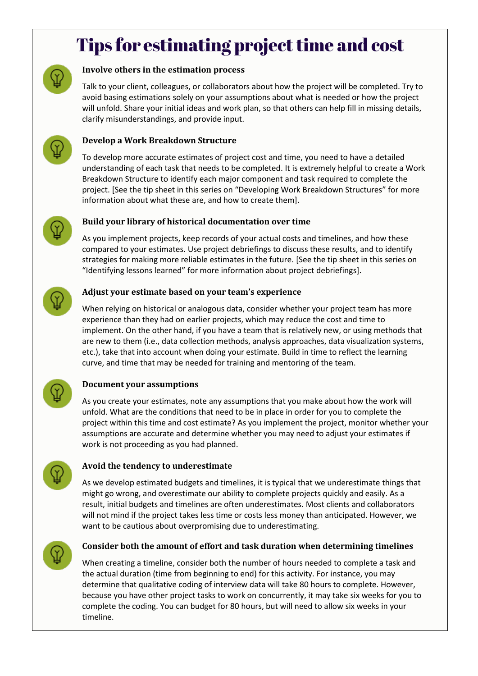## Tips for estimating project time and cost



#### **Involve others in the estimation process**

Talk to your client, colleagues, or collaborators about how the project will be completed. Try to avoid basing estimations solely on your assumptions about what is needed or how the project will unfold. Share your initial ideas and work plan, so that others can help fill in missing details, clarify misunderstandings, and provide input.



#### **Develop a Work Breakdown Structure**

To develop more accurate estimates of project cost and time, you need to have a detailed understanding of each task that needs to be completed. It is extremely helpful to create a Work Breakdown Structure to identify each major component and task required to complete the project. [See the tip sheet in this series on "Developing Work Breakdown Structures" for more information about what these are, and how to create them].



#### **Build your library of historical documentation over time**

As you implement projects, keep records of your actual costs and timelines, and how these compared to your estimates. Use project debriefings to discuss these results, and to identify strategies for making more reliable estimates in the future. [See the tip sheet in this series on "Identifying lessons learned" for more information about project debriefings].

#### **Adjust your estimate based on your team's experience**

When relying on historical or analogous data, consider whether your project team has more experience than they had on earlier projects, which may reduce the cost and time to implement. On the other hand, if you have a team that is relatively new, or using methods that are new to them (i.e., data collection methods, analysis approaches, data visualization systems, etc.), take that into account when doing your estimate. Build in time to reflect the learning curve, and time that may be needed for training and mentoring of the team.



#### **Document your assumptions**

As you create your estimates, note any assumptions that you make about how the work will unfold. What are the conditions that need to be in place in order for you to complete the project within this time and cost estimate? As you implement the project, monitor whether your assumptions are accurate and determine whether you may need to adjust your estimates if work is not proceeding as you had planned.



#### **Avoid the tendency to underestimate**

As we develop estimated budgets and timelines, it is typical that we underestimate things that might go wrong, and overestimate our ability to complete projects quickly and easily. As a result, initial budgets and timelines are often underestimates. Most clients and collaborators will not mind if the project takes less time or costs less money than anticipated. However, we want to be cautious about overpromising due to underestimating.



#### **Consider both the amount of effort and task duration when determining timelines**

When creating a timeline, consider both the number of hours needed to complete a task and the actual duration (time from beginning to end) for this activity. For instance, you may determine that qualitative coding of interview data will take 80 hours to complete. However, because you have other project tasks to work on concurrently, it may take six weeks for you to complete the coding. You can budget for 80 hours, but will need to allow six weeks in your timeline.